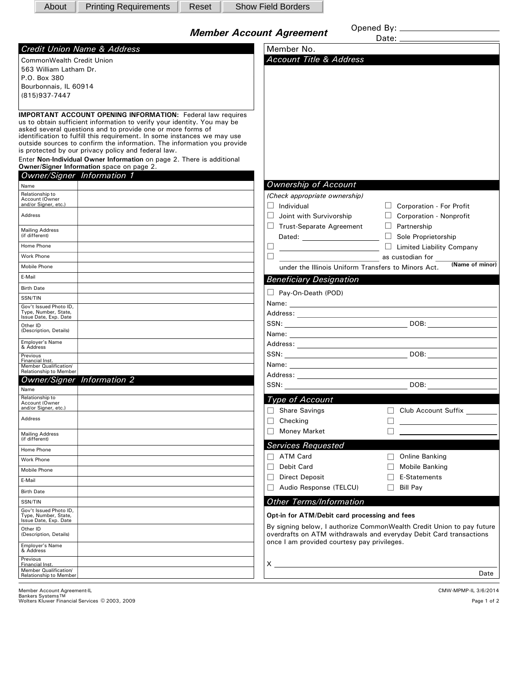| About                                                              | <b>Printing Requirements</b>                                                                                                           | Reset |  | <b>Show Field Borders</b>                                          |  |                                                                        |
|--------------------------------------------------------------------|----------------------------------------------------------------------------------------------------------------------------------------|-------|--|--------------------------------------------------------------------|--|------------------------------------------------------------------------|
|                                                                    |                                                                                                                                        |       |  |                                                                    |  |                                                                        |
|                                                                    |                                                                                                                                        |       |  | <b>Member Account Agreement</b>                                    |  |                                                                        |
|                                                                    | Credit Union Name & Address                                                                                                            |       |  | Member No.                                                         |  |                                                                        |
| <b>CommonWealth Credit Union</b>                                   |                                                                                                                                        |       |  | <b>Account Title &amp; Address</b>                                 |  |                                                                        |
| 563 William Latham Dr.                                             |                                                                                                                                        |       |  |                                                                    |  |                                                                        |
| P.O. Box 380<br>Bourbonnais, IL 60914                              |                                                                                                                                        |       |  |                                                                    |  |                                                                        |
| (815) 937-7447                                                     |                                                                                                                                        |       |  |                                                                    |  |                                                                        |
|                                                                    |                                                                                                                                        |       |  |                                                                    |  |                                                                        |
| <b>IMPORTANT ACCOUNT OPENING INFORMATION: Federal law requires</b> |                                                                                                                                        |       |  |                                                                    |  |                                                                        |
|                                                                    | us to obtain sufficient information to verify your identity. You may be<br>asked several questions and to provide one or more forms of |       |  |                                                                    |  |                                                                        |
|                                                                    | identification to fulfill this requirement. In some instances we may use                                                               |       |  |                                                                    |  |                                                                        |
|                                                                    | outside sources to confirm the information. The information you provide<br>is protected by our privacy policy and federal law.         |       |  |                                                                    |  |                                                                        |
|                                                                    | Enter Non-Individual Owner Information on page 2. There is additional                                                                  |       |  |                                                                    |  |                                                                        |
|                                                                    | Owner/Signer Information space on page 2.                                                                                              |       |  |                                                                    |  |                                                                        |
|                                                                    | <b>Owner/Signer Information 1</b>                                                                                                      |       |  |                                                                    |  |                                                                        |
| Name<br>Relationship to                                            |                                                                                                                                        |       |  | <b>Ownership of Account</b>                                        |  |                                                                        |
| Account (Owner<br>and/or Signer, etc.)                             |                                                                                                                                        |       |  | (Check appropriate ownership)<br>$\Box$ Individual                 |  | $\Box$ Corporation - For Profit                                        |
| Address                                                            |                                                                                                                                        |       |  | Joint with Survivorship<br>U.                                      |  | $\Box$ Corporation - Nonprofit                                         |
|                                                                    |                                                                                                                                        |       |  | $\Box$ Trust-Separate Agreement                                    |  | $\Box$ Partnership                                                     |
| <b>Mailing Address</b><br>(if different)                           |                                                                                                                                        |       |  | Dated: _______________________                                     |  | Sole Proprietorship                                                    |
| Home Phone                                                         |                                                                                                                                        |       |  | ⊔                                                                  |  | $\Box$ Limited Liability Company                                       |
| <b>Work Phone</b>                                                  |                                                                                                                                        |       |  | $\Box$                                                             |  | as custodian for                                                       |
| Mobile Phone                                                       |                                                                                                                                        |       |  |                                                                    |  | (Name of minor)<br>under the Illinois Uniform Transfers to Minors Act. |
| E-Mail                                                             |                                                                                                                                        |       |  | <b>Beneficiary Designation</b>                                     |  |                                                                        |
| <b>Birth Date</b>                                                  |                                                                                                                                        |       |  |                                                                    |  |                                                                        |
| SSN/TIN                                                            |                                                                                                                                        |       |  | Pay-On-Death (POD)                                                 |  |                                                                        |
| Gov't Issued Photo ID,<br>Type, Number, State,                     |                                                                                                                                        |       |  |                                                                    |  |                                                                        |
| Issue Date, Exp. Date                                              |                                                                                                                                        |       |  |                                                                    |  |                                                                        |
| Other ID<br>(Description, Details)                                 |                                                                                                                                        |       |  |                                                                    |  |                                                                        |
| <b>Employer's Name</b>                                             |                                                                                                                                        |       |  |                                                                    |  |                                                                        |
| & Address<br>Previous                                              |                                                                                                                                        |       |  |                                                                    |  |                                                                        |
| Financial Inst.<br>Member Qualification/                           |                                                                                                                                        |       |  |                                                                    |  |                                                                        |
| <b>Relationship to Member</b>                                      |                                                                                                                                        |       |  |                                                                    |  |                                                                        |
|                                                                    | <b>Owner/Signer</b> Information 2                                                                                                      |       |  | SSN:                                                               |  |                                                                        |
| Name<br>Relationship to                                            |                                                                                                                                        |       |  | Type of Account                                                    |  |                                                                        |
| Account (Owner<br>and/or Signer, etc.)                             |                                                                                                                                        |       |  | $\Box$ Share Savings                                               |  | Club Account Suffix ______                                             |
| Address                                                            |                                                                                                                                        |       |  | Checking<br>$\Box$                                                 |  |                                                                        |
|                                                                    |                                                                                                                                        |       |  | <b>Money Market</b>                                                |  |                                                                        |
| <b>Mailing Address</b><br>(if different)                           |                                                                                                                                        |       |  |                                                                    |  |                                                                        |
| Home Phone                                                         |                                                                                                                                        |       |  | <b>Services Requested</b>                                          |  |                                                                        |
| Work Phone                                                         |                                                                                                                                        |       |  | <b>ATM Card</b>                                                    |  | Online Banking                                                         |
| Mobile Phone                                                       |                                                                                                                                        |       |  | Debit Card<br>П                                                    |  | Mobile Banking                                                         |
| E-Mail                                                             |                                                                                                                                        |       |  | <b>Direct Deposit</b><br>П<br>Audio Response (TELCU)               |  | E-Statements                                                           |
| <b>Birth Date</b>                                                  |                                                                                                                                        |       |  |                                                                    |  | <b>Bill Pay</b>                                                        |
| SSN/TIN                                                            |                                                                                                                                        |       |  | <b>Other Terms/Information</b>                                     |  |                                                                        |
| Gov't Issued Photo ID,<br>Type, Number, State,                     |                                                                                                                                        |       |  | Opt-in for ATM/Debit card processing and fees                      |  |                                                                        |
| Issue Date, Exp. Date<br>Other ID                                  |                                                                                                                                        |       |  |                                                                    |  | By signing below, I authorize CommonWealth Credit Union to pay future  |
| (Description, Details)                                             |                                                                                                                                        |       |  | overdrafts on ATM withdrawals and everyday Debit Card transactions |  |                                                                        |
| <b>Employer's Name</b><br>& Address                                |                                                                                                                                        |       |  | once I am provided courtesy pay privileges.                        |  |                                                                        |
| Previous                                                           |                                                                                                                                        |       |  |                                                                    |  |                                                                        |
| Financial Inst.<br>Member Qualification/                           |                                                                                                                                        |       |  |                                                                    |  |                                                                        |
| Relationship to Member                                             |                                                                                                                                        |       |  |                                                                    |  | Date                                                                   |

 $\circ$ Member Account Agreement-IL 3/6/2014<br>Bankers Systems TM<br>Wolters Kluwer Financial Services © 2003, 2009 Page 1 of 2